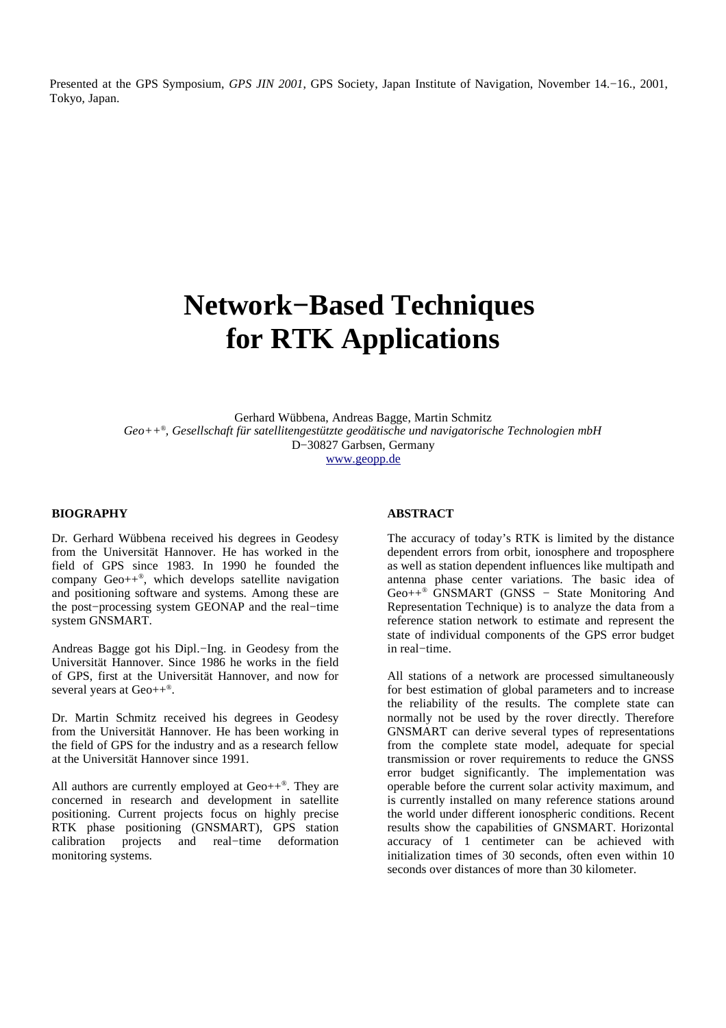Presented at the GPS Symposium, *GPS JIN 2001*, GPS Society, Japan Institute of Navigation, November 14.−16., 2001, Tokyo, Japan.

# **Network−Based Techniques for RTK Applications**

Gerhard Wübbena, Andreas Bagge, Martin Schmitz *Geo++ ® , Gesellschaft für satellitengestützte geodätische und navigatorische Technologien mbH* D−30827 Garbsen, Germany www.geopp.de

#### **BIOGRAPHY**

Dr. Gerhard Wübbena received his degrees in Geodesy from the Universität Hannover. He has worked in the field of GPS since 1983. In 1990 he founded the company Geo++ *®* , which develops satellite navigation and positioning software and systems. Among these are the post−processing system GEONAP and the real−time system GNSMART.

Andreas Bagge got his Dipl.−Ing. in Geodesy from the Universität Hannover. Since 1986 he works in the field of GPS, first at the Universität Hannover, and now for several years at Geo++<sup>®</sup>.

Dr. Martin Schmitz received his degrees in Geodesy from the Universität Hannover. He has been working in the field of GPS for the industry and as a research fellow at the Universität Hannover since 1991.

All authors are currently employed at Geo++ *®* . They are concerned in research and development in satellite positioning. Current projects focus on highly precise RTK phase positioning (GNSMART), GPS station calibration projects and real−time deformation monitoring systems.

# **ABSTRACT**

The accuracy of today's RTK is limited by the distance dependent errors from orbit, ionosphere and troposphere as well as station dependent influences like multipath and antenna phase center variations. The basic idea of Geo++ *®* GNSMART (GNSS − State Monitoring And Representation Technique) is to analyze the data from a reference station network to estimate and represent the state of individual components of the GPS error budget in real−time.

All stations of a network are processed simultaneously for best estimation of global parameters and to increase the reliability of the results. The complete state can normally not be used by the rover directly. Therefore GNSMART can derive several types of representations from the complete state model, adequate for special transmission or rover requirements to reduce the GNSS error budget significantly. The implementation was operable before the current solar activity maximum, and is currently installed on many reference stations around the world under different ionospheric conditions. Recent results show the capabilities of GNSMART. Horizontal accuracy of 1 centimeter can be achieved with initialization times of 30 seconds, often even within 10 seconds over distances of more than 30 kilometer.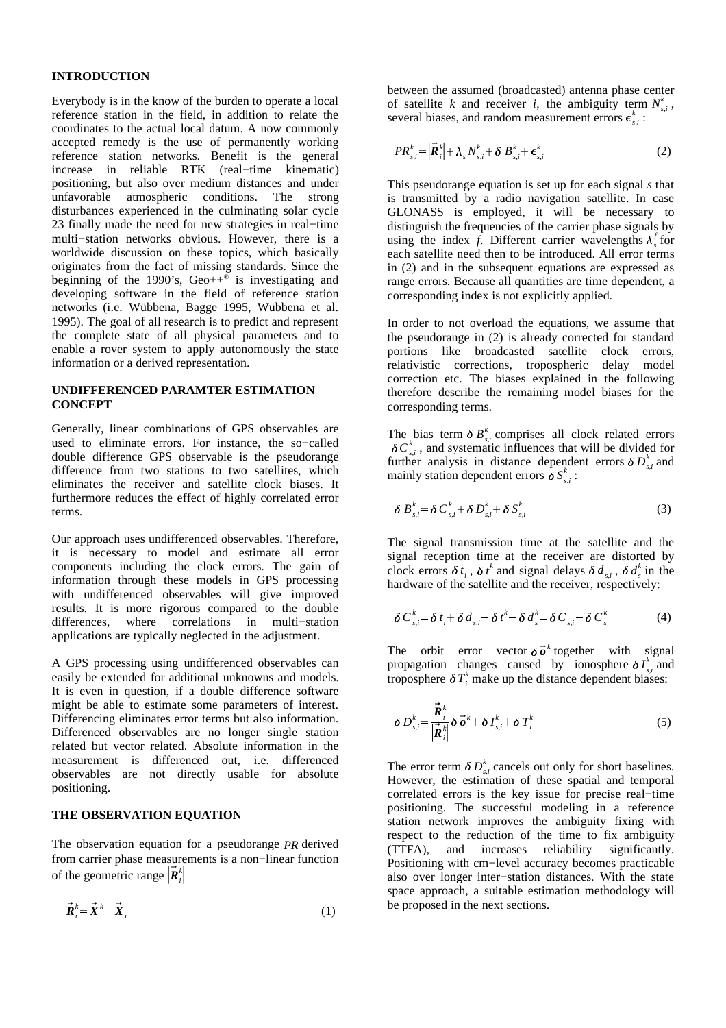# **INTRODUCTION**

Everybody is in the know of the burden to operate a local reference station in the field, in addition to relate the coordinates to the actual local datum. A now commonly accepted remedy is the use of permanently working reference station networks. Benefit is the general increase in reliable RTK (real−time kinematic) positioning, but also over medium distances and under unfavorable atmospheric conditions. The strong disturbances experienced in the culminating solar cycle 23 finally made the need for new strategies in real−time multi−station networks obvious. However, there is a worldwide discussion on these topics, which basically originates from the fact of missing standards. Since the beginning of the 1990's,  $Geo++^{\otimes}$  is investigating and developing software in the field of reference station networks (i.e. Wübbena, Bagge 1995, Wübbena et al. 1995). The goal of all research is to predict and represent the complete state of all physical parameters and to enable a rover system to apply autonomously the state information or a derived representation.

# **UNDIFFERENCED PARAMTER ESTIMATION CONCEPT**

Generally, linear combinations of GPS observables are used to eliminate errors. For instance, the so−called double difference GPS observable is the pseudorange difference from two stations to two satellites, which eliminates the receiver and satellite clock biases. It furthermore reduces the effect of highly correlated error terms.

Our approach uses undifferenced observables. Therefore, it is necessary to model and estimate all error components including the clock errors. The gain of information through these models in GPS processing with undifferenced observables will give improved results. It is more rigorous compared to the double differences, where correlations in multi−station applications are typically neglected in the adjustment.

A GPS processing using undifferenced observables can easily be extended for additional unknowns and models. It is even in question, if a double difference software might be able to estimate some parameters of interest. Differencing eliminates error terms but also information. Differenced observables are no longer single station related but vector related. Absolute information in the measurement is differenced out, i.e. differenced observables are not directly usable for absolute positioning.

# **THE OBSERVATION EQUATION**

The observation equation for a pseudorange *PR* derived from carrier phase measurements is a non−linear function of the geometric range  $\vec{R}_i^k$ the contract of the contract of the contract of the contract of the contract of

$$
\vec{R}_i^k = \vec{X}^k - \vec{X}_i
$$
 (1)

between the assumed (broadcasted) antenna phase center of satellite *k* and receiver *i*, the ambiguity term  $N_{s,i}^k$ , several biases, and random measurement errors  $\epsilon_{si}^k$ :

$$
PR_{s,i}^{k} = \left| \vec{\boldsymbol{R}}_{i}^{k} \right| + \lambda_{s} N_{s,i}^{k} + \delta B_{s,i}^{k} + \epsilon_{s,i}^{k}
$$
 (2)

This pseudorange equation is set up for each signal *s* that is transmitted by a radio navigation satellite. In case GLONASS is employed, it will be necessary to distinguish the frequencies of the carrier phase signals by using the index *f*. Different carrier wavelengths  $\lambda_s^f$  for each satellite need then to be introduced. All error terms in (2) and in the subsequent equations are expressed as range errors. Because all quantities are time dependent, a corresponding index is not explicitly applied.

In order to not overload the equations, we assume that the pseudorange in (2) is already corrected for standard portions like broadcasted satellite clock errors, relativistic corrections, tropospheric delay model correction etc. The biases explained in the following therefore describe the remaining model biases for the corresponding terms.

The bias term  $\delta B_{s,i}^k$  comprises all clock related errors  $\delta C_{s,i}^k$ , and systematic influences that will be divided for further analysis in distance dependent errors  $\delta D_{s,i}^k$  and mainly station dependent errors  $\delta S_{s,i}^k$ :

$$
\delta B_{s,i}^k = \delta C_{s,i}^k + \delta D_{s,i}^k + \delta S_{s,i}^k \tag{3}
$$

The signal transmission time at the satellite and the signal reception time at the receiver are distorted by clock errors  $\delta t_i$ ,  $\delta t^k$  and signal delays  $\delta d_{s,i}$ ,  $\delta d_s^k$  in the hardware of the satellite and the receiver, respectively:

$$
\delta C_{s,i}^k = \delta t_i + \delta d_{s,i} - \delta t^k - \delta d_s^k = \delta C_{s,i} - \delta C_s^k \tag{4}
$$

The orbit error vector  $\delta \vec{\sigma}^k$  together with signal propagation changes caused by ionosphere  $\delta I_{s,i}^k$  $\int_{k}^{k}$  and troposphere  $\delta T_i^k$  make up the distance dependent biases:

$$
\delta D_{s,i}^k = \frac{\vec{R}_i^k}{\left|\vec{R}_i^k\right|} \delta \vec{\boldsymbol{\sigma}}^k + \delta I_{s,i}^k + \delta T_i^k \tag{5}
$$

The error term  $\delta D_{s,i}^k$  cancels out only for short baselines. However, the estimation of these spatial and temporal correlated errors is the key issue for precise real−time positioning. The successful modeling in a reference station network improves the ambiguity fixing with respect to the reduction of the time to fix ambiguity (TTFA), and increases reliability significantly. Positioning with cm−level accuracy becomes practicable also over longer inter−station distances. With the state space approach, a suitable estimation methodology will be proposed in the next sections.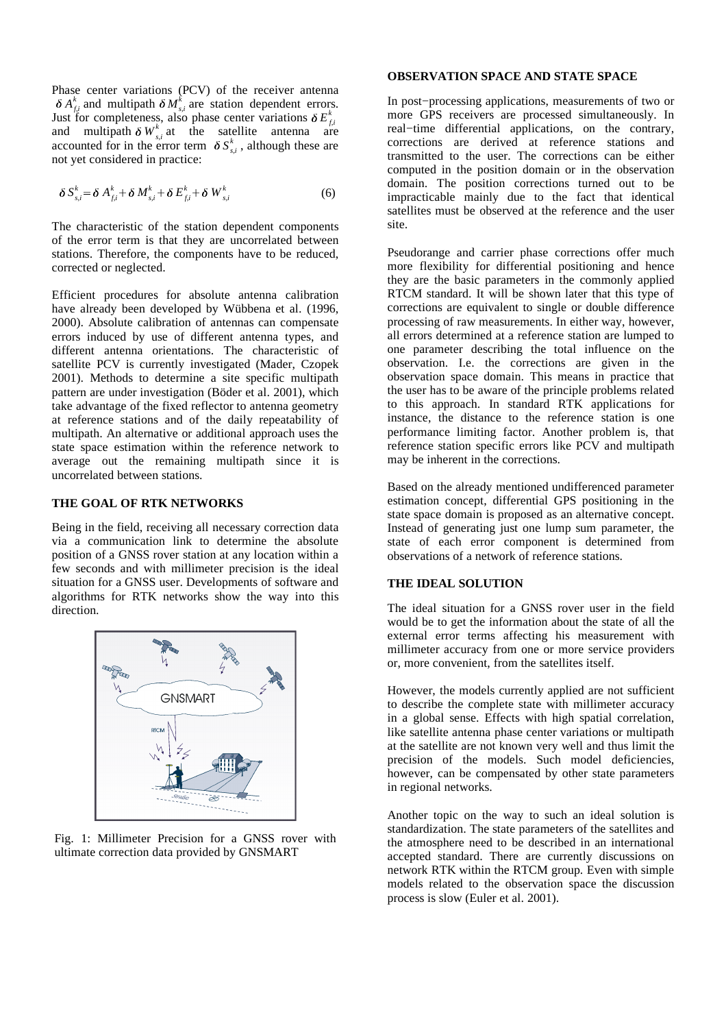Phase center variations (PCV) of the receiver antenna  $\delta A_{fi}^k$  and multipath  $\delta M_{s,i}^k$  are station dependent errors. Just for completeness, also phase center variations  $\delta E_{fi}^k$ and multipath  $\delta W_{s,i}^k$  at the satellite antenna are accounted for in the error term  $\delta S_{s,i}^k$ , although these are not yet considered in practice:

$$
\delta S_{s,i}^k = \delta A_{f,i}^k + \delta M_{s,i}^k + \delta E_{f,i}^k + \delta W_{s,i}^k \tag{6}
$$

The characteristic of the station dependent components of the error term is that they are uncorrelated between stations. Therefore, the components have to be reduced, corrected or neglected.

Efficient procedures for absolute antenna calibration have already been developed by Wübbena et al. (1996, 2000). Absolute calibration of antennas can compensate errors induced by use of different antenna types, and different antenna orientations. The characteristic of satellite PCV is currently investigated (Mader, Czopek 2001). Methods to determine a site specific multipath pattern are under investigation (Böder et al. 2001), which take advantage of the fixed reflector to antenna geometry at reference stations and of the daily repeatability of multipath. An alternative or additional approach uses the state space estimation within the reference network to average out the remaining multipath since it is uncorrelated between stations.

# **THE GOAL OF RTK NETWORKS**

Being in the field, receiving all necessary correction data via a communication link to determine the absolute position of a GNSS rover station at any location within a few seconds and with millimeter precision is the ideal situation for a GNSS user. Developments of software and algorithms for RTK networks show the way into this direction.



Fig. 1: Millimeter Precision for a GNSS rover with ultimate correction data provided by GNSMART

# **OBSERVATION SPACE AND STATE SPACE**

In post−processing applications, measurements of two or more GPS receivers are processed simultaneously. In real−time differential applications, on the contrary, corrections are derived at reference stations and transmitted to the user. The corrections can be either computed in the position domain or in the observation domain. The position corrections turned out to be impracticable mainly due to the fact that identical satellites must be observed at the reference and the user site.

Pseudorange and carrier phase corrections offer much more flexibility for differential positioning and hence they are the basic parameters in the commonly applied RTCM standard. It will be shown later that this type of corrections are equivalent to single or double difference processing of raw measurements. In either way, however, all errors determined at a reference station are lumped to one parameter describing the total influence on the observation. I.e. the corrections are given in the observation space domain. This means in practice that the user has to be aware of the principle problems related to this approach. In standard RTK applications for instance, the distance to the reference station is one performance limiting factor. Another problem is, that reference station specific errors like PCV and multipath may be inherent in the corrections.

Based on the already mentioned undifferenced parameter estimation concept, differential GPS positioning in the state space domain is proposed as an alternative concept. Instead of generating just one lump sum parameter, the state of each error component is determined from observations of a network of reference stations.

# **THE IDEAL SOLUTION**

The ideal situation for a GNSS rover user in the field would be to get the information about the state of all the external error terms affecting his measurement with millimeter accuracy from one or more service providers or, more convenient, from the satellites itself.

However, the models currently applied are not sufficient to describe the complete state with millimeter accuracy in a global sense. Effects with high spatial correlation, like satellite antenna phase center variations or multipath at the satellite are not known very well and thus limit the precision of the models. Such model deficiencies, however, can be compensated by other state parameters in regional networks.

Another topic on the way to such an ideal solution is standardization. The state parameters of the satellites and the atmosphere need to be described in an international accepted standard. There are currently discussions on network RTK within the RTCM group. Even with simple models related to the observation space the discussion process is slow (Euler et al. 2001).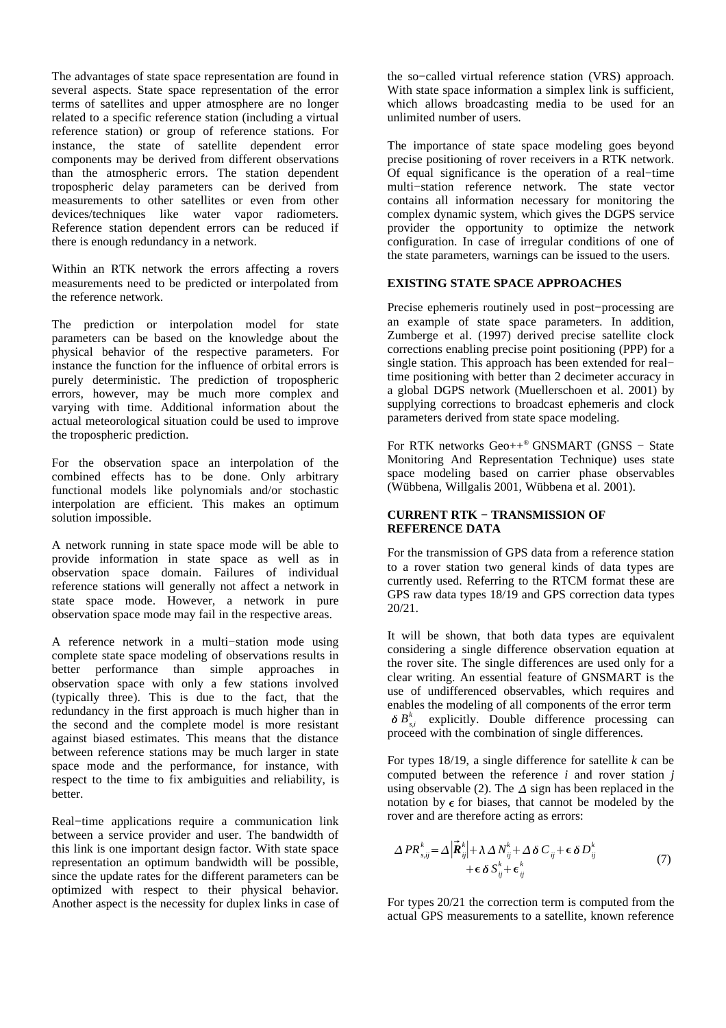The advantages of state space representation are found in several aspects. State space representation of the error terms of satellites and upper atmosphere are no longer related to a specific reference station (including a virtual reference station) or group of reference stations. For instance, the state of satellite dependent error components may be derived from different observations than the atmospheric errors. The station dependent tropospheric delay parameters can be derived from measurements to other satellites or even from other devices/techniques like water vapor radiometers. Reference station dependent errors can be reduced if there is enough redundancy in a network.

Within an RTK network the errors affecting a rovers measurements need to be predicted or interpolated from the reference network.

The prediction or interpolation model for state parameters can be based on the knowledge about the physical behavior of the respective parameters. For instance the function for the influence of orbital errors is purely deterministic. The prediction of tropospheric errors, however, may be much more complex and varying with time. Additional information about the actual meteorological situation could be used to improve the tropospheric prediction.

For the observation space an interpolation of the combined effects has to be done. Only arbitrary functional models like polynomials and/or stochastic interpolation are efficient. This makes an optimum solution impossible.

A network running in state space mode will be able to provide information in state space as well as in observation space domain. Failures of individual reference stations will generally not affect a network in state space mode. However, a network in pure observation space mode may fail in the respective areas.

A reference network in a multi−station mode using complete state space modeling of observations results in better performance than simple approaches in observation space with only a few stations involved (typically three). This is due to the fact, that the redundancy in the first approach is much higher than in the second and the complete model is more resistant against biased estimates. This means that the distance between reference stations may be much larger in state space mode and the performance, for instance, with respect to the time to fix ambiguities and reliability, is better.

Real−time applications require a communication link between a service provider and user. The bandwidth of this link is one important design factor. With state space representation an optimum bandwidth will be possible, since the update rates for the different parameters can be optimized with respect to their physical behavior. Another aspect is the necessity for duplex links in case of the so−called virtual reference station (VRS) approach. With state space information a simplex link is sufficient, which allows broadcasting media to be used for an unlimited number of users.

The importance of state space modeling goes beyond precise positioning of rover receivers in a RTK network. Of equal significance is the operation of a real−time multi−station reference network. The state vector contains all information necessary for monitoring the complex dynamic system, which gives the DGPS service provider the opportunity to optimize the network configuration. In case of irregular conditions of one of the state parameters, warnings can be issued to the users.

# **EXISTING STATE SPACE APPROACHES**

Precise ephemeris routinely used in post−processing are an example of state space parameters. In addition, Zumberge et al. (1997) derived precise satellite clock corrections enabling precise point positioning (PPP) for a single station. This approach has been extended for real− time positioning with better than 2 decimeter accuracy in a global DGPS network (Muellerschoen et al. 2001) by supplying corrections to broadcast ephemeris and clock parameters derived from state space modeling.

For RTK networks Geo++ *®* GNSMART (GNSS − State Monitoring And Representation Technique) uses state space modeling based on carrier phase observables (Wübbena, Willgalis 2001, Wübbena et al. 2001).

# **CURRENT RTK − TRANSMISSION OF REFERENCE DATA**

For the transmission of GPS data from a reference station to a rover station two general kinds of data types are currently used. Referring to the RTCM format these are GPS raw data types 18/19 and GPS correction data types 20/21.

It will be shown, that both data types are equivalent considering a single difference observation equation at the rover site. The single differences are used only for a clear writing. An essential feature of GNSMART is the use of undifferenced observables, which requires and enables the modeling of all components of the error term  $\delta B_{s,i}^k$  explicitly. Double difference processing can proceed with the combination of single differences.

For types 18/19, a single difference for satellite *k* can be computed between the reference *i* and rover station *j* using observable (2). The  $\Delta$  sign has been replaced in the notation by  $\epsilon$  for biases, that cannot be modeled by the rover and are therefore acting as errors:

$$
\Delta PR_{s,ij}^k = \Delta \left| \vec{R}_{ij}^k \right| + \lambda \Delta N_{ij}^k + \Delta \delta C_{ij} + \epsilon \delta D_{ij}^k
$$
  
 
$$
+ \epsilon \delta S_{ij}^k + \epsilon_{ij}^k
$$
 (7)

For types 20/21 the correction term is computed from the actual GPS measurements to a satellite, known reference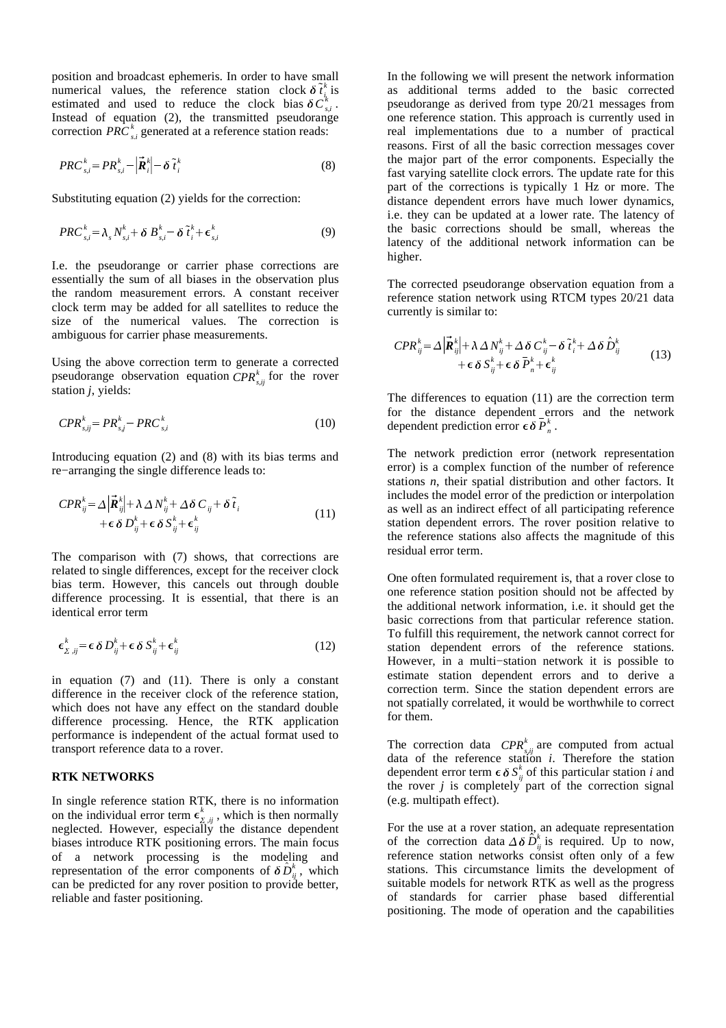position and broadcast ephemeris. In order to have small numerical values, the reference station clock  $\delta \dot{t}_i$  $\frac{k}{i}$  is estimated and used to reduce the clock bias  $\delta C_{s,i}^k$ . Instead of equation (2), the transmitted pseudorange correction  $PRC_{si}^{k}$  generated at a reference station reads:

$$
PRC_{s,i}^k = PR_{s,i}^k - \left|\vec{R}_i^k\right| - \delta \tilde{t}_i^k \tag{8}
$$

Substituting equation (2) yields for the correction:

$$
PRC_{s,i}^k = \lambda_s N_{s,i}^k + \delta B_{s,i}^k - \delta \tilde{t}_i^k + \epsilon_{s,i}^k
$$
 (9)

I.e. the pseudorange or carrier phase corrections are essentially the sum of all biases in the observation plus the random measurement errors. A constant receiver clock term may be added for all satellites to reduce the size of the numerical values. The correction is ambiguous for carrier phase measurements.

Using the above correction term to generate a corrected pseudorange observation equation  $\mathit{CPR}_{s,ij}^k$  for the rover station *j*, yields:

$$
CPR_{s,ij}^k = PR_{s,j}^k - PRC_{s,i}^k \tag{10}
$$

Introducing equation (2) and (8) with its bias terms and re−arranging the single difference leads to:

$$
CPR_{ij}^{k} = \Delta \left| \vec{R}_{ij}^{k} \right| + \lambda \Delta N_{ij}^{k} + \Delta \delta C_{ij} + \delta \tilde{t}_{i} + \epsilon \delta D_{ij}^{k} + \epsilon \delta S_{ij}^{k} + \epsilon_{ij}^{k}
$$
\n(11)

The comparison with (7) shows, that corrections are related to single differences, except for the receiver clock bias term. However, this cancels out through double difference processing. It is essential, that there is an identical error term

$$
\epsilon_{\Sigma,ij}^k = \epsilon \, \delta \, D_{ij}^k + \epsilon \, \delta \, S_{ij}^k + \epsilon_{ij}^k \tag{12}
$$

in equation (7) and (11). There is only a constant difference in the receiver clock of the reference station, which does not have any effect on the standard double difference processing. Hence, the RTK application performance is independent of the actual format used to transport reference data to a rover.

## **RTK NETWORKS**

In single reference station RTK, there is no information on the individual error term  $\epsilon_{\Sigma,ij}^*$ ,  $\frac{k}{s}$  is which is then normally neglected. However, especially the distance dependent biases introduce RTK positioning errors. The main focus of a network processing is the modeling and representation of the error components of  $\delta \hat{D}_{ij}^k$ , which can be predicted for any rover position to provide better, reliable and faster positioning.

In the following we will present the network information as additional terms added to the basic corrected pseudorange as derived from type 20/21 messages from one reference station. This approach is currently used in real implementations due to a number of practical reasons. First of all the basic correction messages cover the major part of the error components. Especially the fast varying satellite clock errors. The update rate for this part of the corrections is typically 1 Hz or more. The distance dependent errors have much lower dynamics, i.e. they can be updated at a lower rate. The latency of the basic corrections should be small, whereas the latency of the additional network information can be higher.

The corrected pseudorange observation equation from a reference station network using RTCM types 20/21 data currently is similar to:

$$
CPR_{ij}^k = \Delta \left| \vec{R}_{ij}^k \right| + \lambda \Delta N_{ij}^k + \Delta \delta C_{ij}^k - \delta \tilde{t}_i^k + \Delta \delta \hat{D}_{ij}^k + \epsilon \delta S_{ij}^k + \epsilon \delta \bar{P}_n^k + \epsilon_{ij}^k
$$
\n(13)

The differences to equation (11) are the correction term for the distance dependent errors and the network dependent prediction error  $\epsilon \delta \overline{P}_n^k$ .

The network prediction error (network representation error) is a complex function of the number of reference stations *n*, their spatial distribution and other factors. It includes the model error of the prediction or interpolation as well as an indirect effect of all participating reference station dependent errors. The rover position relative to the reference stations also affects the magnitude of this residual error term.

One often formulated requirement is, that a rover close to one reference station position should not be affected by the additional network information, i.e. it should get the basic corrections from that particular reference station. To fulfill this requirement, the network cannot correct for station dependent errors of the reference stations. However, in a multi−station network it is possible to estimate station dependent errors and to derive a correction term. Since the station dependent errors are not spatially correlated, it would be worthwhile to correct for them.

The correction data  $\mathit{CPR}_{s,ij}^k$  are computed from actual data of the reference station *i*. Therefore the station dependent error term  $\epsilon \delta S_{ij}^k$  of this particular station *i* and the rover *j* is completely part of the correction signal (e.g. multipath effect).

For the use at a rover station, an adequate representation of the correction data  $\Delta \delta \hat{D}_{ij}^k$  is required. Up to now, reference station networks consist often only of a few stations. This circumstance limits the development of suitable models for network RTK as well as the progress of standards for carrier phase based differential positioning. The mode of operation and the capabilities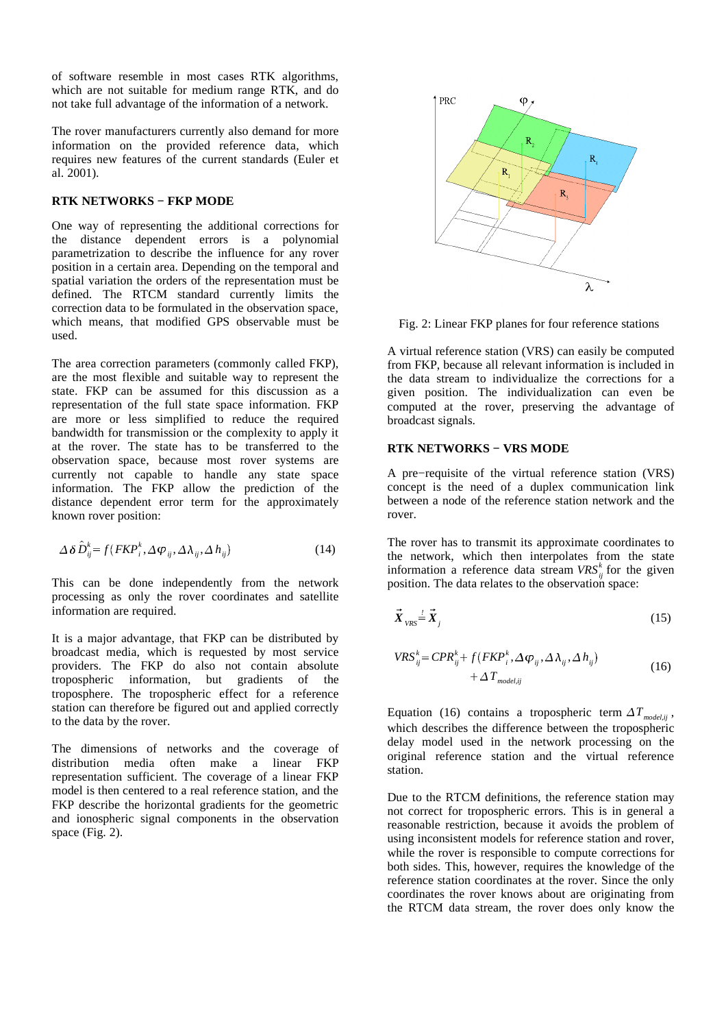of software resemble in most cases RTK algorithms, which are not suitable for medium range RTK, and do not take full advantage of the information of a network.

The rover manufacturers currently also demand for more information on the provided reference data, which requires new features of the current standards (Euler et al. 2001).

# **RTK NETWORKS − FKP MODE**

One way of representing the additional corrections for the distance dependent errors is a polynomial parametrization to describe the influence for any rover position in a certain area. Depending on the temporal and spatial variation the orders of the representation must be defined. The RTCM standard currently limits the correction data to be formulated in the observation space, which means, that modified GPS observable must be used.

The area correction parameters (commonly called FKP), are the most flexible and suitable way to represent the state. FKP can be assumed for this discussion as a representation of the full state space information. FKP are more or less simplified to reduce the required bandwidth for transmission or the complexity to apply it at the rover. The state has to be transferred to the observation space, because most rover systems are currently not capable to handle any state space information. The FKP allow the prediction of the distance dependent error term for the approximately known rover position:

$$
\Delta \delta \hat{D}_{ij}^k = f(FKP_i^k, \Delta \varphi_{ij}, \Delta \lambda_{ij}, \Delta h_{ij})
$$
\n(14)

This can be done independently from the network processing as only the rover coordinates and satellite information are required.

It is a major advantage, that FKP can be distributed by broadcast media, which is requested by most service providers. The FKP do also not contain absolute tropospheric information, but gradients of the troposphere. The tropospheric effect for a reference station can therefore be figured out and applied correctly to the data by the rover.

The dimensions of networks and the coverage of distribution media often make a linear FKP representation sufficient. The coverage of a linear FKP model is then centered to a real reference station, and the FKP describe the horizontal gradients for the geometric and ionospheric signal components in the observation space (Fig. 2).



Fig. 2: Linear FKP planes for four reference stations

A virtual reference station (VRS) can easily be computed from FKP, because all relevant information is included in the data stream to individualize the corrections for a given position. The individualization can even be computed at the rover, preserving the advantage of broadcast signals.

# **RTK NETWORKS − VRS MODE**

A pre−requisite of the virtual reference station (VRS) concept is the need of a duplex communication link between a node of the reference station network and the rover.

The rover has to transmit its approximate coordinates to the network, which then interpolates from the state information a reference data stream  $VRS_{ij}^k$  for the given position. The data relates to the observation space:

$$
\vec{X}_{VRS} = \vec{X}_j \tag{15}
$$

$$
VRS_{ij}^k = CPR_{ij}^k + f(FKP_i^k, \Delta \varphi_{ij}, \Delta \lambda_{ij}, \Delta h_{ij})
$$
  
+  $\Delta T_{model,ij}$  (16)

Equation (16) contains a tropospheric term  $\Delta T_{model,ij}$ , which describes the difference between the tropospheric delay model used in the network processing on the original reference station and the virtual reference station.

Due to the RTCM definitions, the reference station may not correct for tropospheric errors. This is in general a reasonable restriction, because it avoids the problem of using inconsistent models for reference station and rover, while the rover is responsible to compute corrections for both sides. This, however, requires the knowledge of the reference station coordinates at the rover. Since the only coordinates the rover knows about are originating from the RTCM data stream, the rover does only know the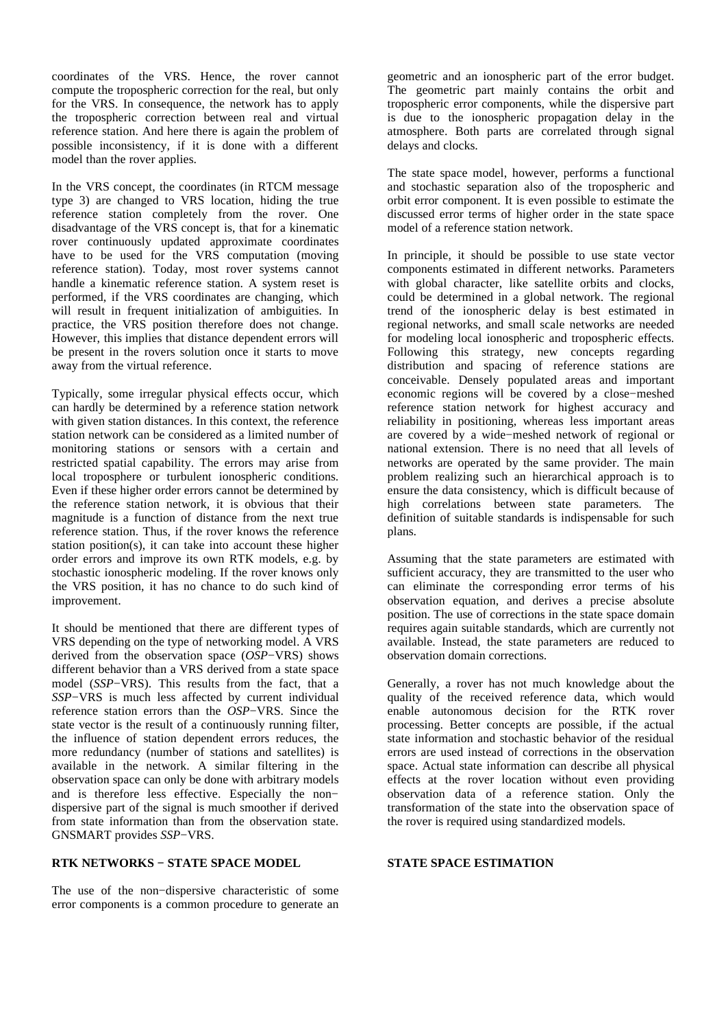coordinates of the VRS. Hence, the rover cannot compute the tropospheric correction for the real, but only for the VRS. In consequence, the network has to apply the tropospheric correction between real and virtual reference station. And here there is again the problem of possible inconsistency, if it is done with a different model than the rover applies.

In the VRS concept, the coordinates (in RTCM message type 3) are changed to VRS location, hiding the true reference station completely from the rover. One disadvantage of the VRS concept is, that for a kinematic rover continuously updated approximate coordinates have to be used for the VRS computation (moving reference station). Today, most rover systems cannot handle a kinematic reference station. A system reset is performed, if the VRS coordinates are changing, which will result in frequent initialization of ambiguities. In practice, the VRS position therefore does not change. However, this implies that distance dependent errors will be present in the rovers solution once it starts to move away from the virtual reference.

Typically, some irregular physical effects occur, which can hardly be determined by a reference station network with given station distances. In this context, the reference station network can be considered as a limited number of monitoring stations or sensors with a certain and restricted spatial capability. The errors may arise from local troposphere or turbulent ionospheric conditions. Even if these higher order errors cannot be determined by the reference station network, it is obvious that their magnitude is a function of distance from the next true reference station. Thus, if the rover knows the reference station position(s), it can take into account these higher order errors and improve its own RTK models, e.g. by stochastic ionospheric modeling. If the rover knows only the VRS position, it has no chance to do such kind of improvement.

It should be mentioned that there are different types of VRS depending on the type of networking model. A VRS derived from the observation space (*OSP*−VRS) shows different behavior than a VRS derived from a state space model (*SSP*−VRS). This results from the fact, that a *SSP*−VRS is much less affected by current individual reference station errors than the *OSP*−VRS. Since the state vector is the result of a continuously running filter, the influence of station dependent errors reduces, the more redundancy (number of stations and satellites) is available in the network. A similar filtering in the observation space can only be done with arbitrary models and is therefore less effective. Especially the non− dispersive part of the signal is much smoother if derived from state information than from the observation state. GNSMART provides *SSP*−VRS.

### **RTK NETWORKS − STATE SPACE MODEL**

The use of the non−dispersive characteristic of some error components is a common procedure to generate an geometric and an ionospheric part of the error budget. The geometric part mainly contains the orbit and tropospheric error components, while the dispersive part is due to the ionospheric propagation delay in the atmosphere. Both parts are correlated through signal delays and clocks.

The state space model, however, performs a functional and stochastic separation also of the tropospheric and orbit error component. It is even possible to estimate the discussed error terms of higher order in the state space model of a reference station network.

In principle, it should be possible to use state vector components estimated in different networks. Parameters with global character, like satellite orbits and clocks, could be determined in a global network. The regional trend of the ionospheric delay is best estimated in regional networks, and small scale networks are needed for modeling local ionospheric and tropospheric effects. Following this strategy, new concepts regarding distribution and spacing of reference stations are conceivable. Densely populated areas and important economic regions will be covered by a close−meshed reference station network for highest accuracy and reliability in positioning, whereas less important areas are covered by a wide−meshed network of regional or national extension. There is no need that all levels of networks are operated by the same provider. The main problem realizing such an hierarchical approach is to ensure the data consistency, which is difficult because of high correlations between state parameters. The definition of suitable standards is indispensable for such plans.

Assuming that the state parameters are estimated with sufficient accuracy, they are transmitted to the user who can eliminate the corresponding error terms of his observation equation, and derives a precise absolute position. The use of corrections in the state space domain requires again suitable standards, which are currently not available. Instead, the state parameters are reduced to observation domain corrections.

Generally, a rover has not much knowledge about the quality of the received reference data, which would enable autonomous decision for the RTK rover processing. Better concepts are possible, if the actual state information and stochastic behavior of the residual errors are used instead of corrections in the observation space. Actual state information can describe all physical effects at the rover location without even providing observation data of a reference station. Only the transformation of the state into the observation space of the rover is required using standardized models.

# **STATE SPACE ESTIMATION**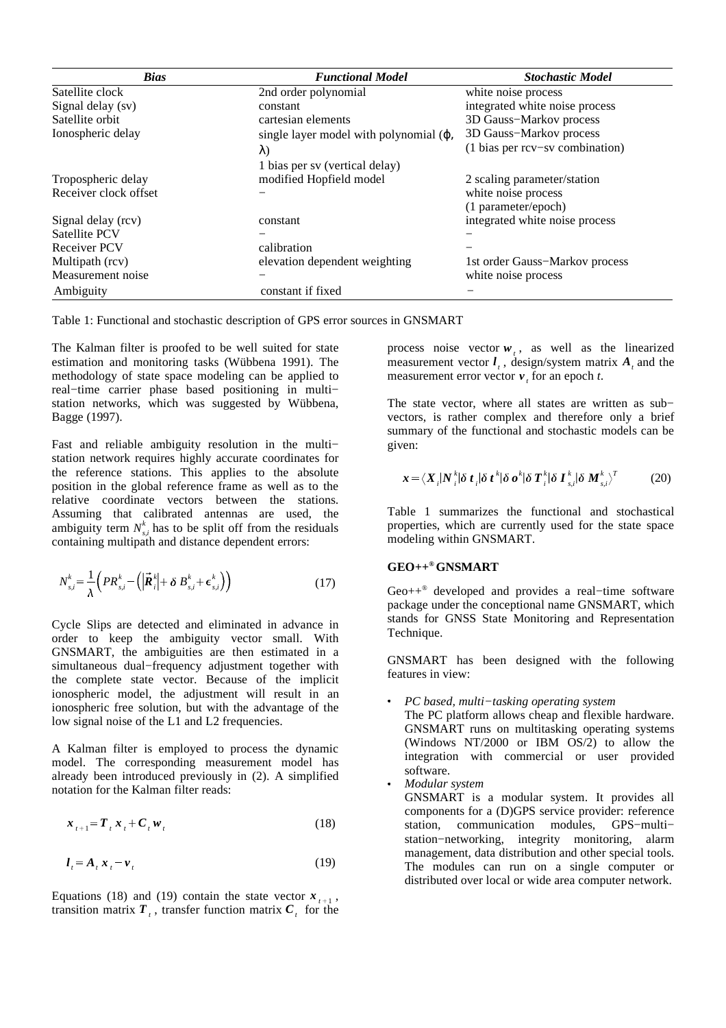| <b>Bias</b>           | <b>Functional Model</b>                        | <b>Stochastic Model</b>         |
|-----------------------|------------------------------------------------|---------------------------------|
| Satellite clock       | 2nd order polynomial                           | white noise process             |
| Signal delay (sv)     | constant                                       | integrated white noise process  |
| Satellite orbit       | cartesian elements                             | 3D Gauss-Markov process         |
| Ionospheric delay     | single layer model with polynomial $(\varphi,$ | 3D Gauss-Markov process         |
|                       | $\lambda$                                      | (1 bias per rcv-sv combination) |
|                       | 1 bias per sv (vertical delay)                 |                                 |
| Tropospheric delay    | modified Hopfield model                        | 2 scaling parameter/station     |
| Receiver clock offset |                                                | white noise process             |
|                       |                                                | (1 parameter/epoch)             |
| Signal delay (rcv)    | constant                                       | integrated white noise process  |
| Satellite PCV         |                                                |                                 |
| <b>Receiver PCV</b>   | calibration                                    |                                 |
| Multipath (rcv)       | elevation dependent weighting                  | 1st order Gauss-Markov process  |
| Measurement noise     |                                                | white noise process             |
| Ambiguity             | constant if fixed                              |                                 |

Table 1: Functional and stochastic description of GPS error sources in GNSMART

The Kalman filter is proofed to be well suited for state estimation and monitoring tasks (Wübbena 1991). The methodology of state space modeling can be applied to real−time carrier phase based positioning in multi− station networks, which was suggested by Wübbena, Bagge (1997).

Fast and reliable ambiguity resolution in the multi− station network requires highly accurate coordinates for the reference stations. This applies to the absolute position in the global reference frame as well as to the relative coordinate vectors between the stations. Assuming that calibrated antennas are used, the ambiguity term  $N_{s,i}^k$  has to be split off from the residuals containing multipath and distance dependent errors:

$$
N_{s,i}^k = \frac{1}{\lambda} \left( PR_{s,i}^k - \left( \left| \vec{R}_i^k \right| + \delta \ B_{s,i}^k + \epsilon_{s,i}^k \right) \right) \tag{17}
$$

Cycle Slips are detected and eliminated in advance in order to keep the ambiguity vector small. With GNSMART, the ambiguities are then estimated in a simultaneous dual−frequency adjustment together with the complete state vector. Because of the implicit ionospheric model, the adjustment will result in an ionospheric free solution, but with the advantage of the low signal noise of the L1 and L2 frequencies.

A Kalman filter is employed to process the dynamic model. The corresponding measurement model has already been introduced previously in (2). A simplified notation for the Kalman filter reads:

$$
\boldsymbol{x}_{t+1} = \boldsymbol{T}_t \boldsymbol{x}_t + \boldsymbol{C}_t \boldsymbol{w}_t \tag{18}
$$

$$
l_t = A_t x_t - v_t \tag{19}
$$

Equations (18) and (19) contain the state vector  $x_{t+1}$ , transition matrix  $T_{t}$ , transfer function matrix  $C_{t}$  for the

process noise vector  $w_t$ , as well as the linearized measurement vector  $\mathbf{l}_t$ , design/system matrix  $\mathbf{A}_t$  and the measurement error vector  $v_t$  for an epoch *t*.

The state vector, where all states are written as sub− vectors, is rather complex and therefore only a brief summary of the functional and stochastic models can be given:

$$
\boldsymbol{x} = \langle \boldsymbol{X}_i | \boldsymbol{N}_i^k | \delta \boldsymbol{t}_i | \delta \boldsymbol{t}^k | \delta \boldsymbol{\sigma}^k | \delta \boldsymbol{T}_i^k | \delta \boldsymbol{I}_{s,i}^k | \delta \boldsymbol{M}_{s,i}^k \rangle^T \qquad (20)
$$

Table 1 summarizes the functional and stochastical properties, which are currently used for the state space modeling within GNSMART.

# **GEO++ ®GNSMART**

Geo++ ® developed and provides a real−time software package under the conceptional name GNSMART, which stands for GNSS State Monitoring and Representation Technique.

GNSMART has been designed with the following features in view:

\_ *PC based, multi−tasking operating system*

The PC platform allows cheap and flexible hardware. GNSMART runs on multitasking operating systems (Windows NT/2000 or IBM OS/2) to allow the integration with commercial or user provided software.

\_ *Modular system*

GNSMART is a modular system. It provides all components for a (D)GPS service provider: reference station, communication modules, GPS−multi− station−networking, integrity monitoring, alarm management, data distribution and other special tools. The modules can run on a single computer or distributed over local or wide area computer network.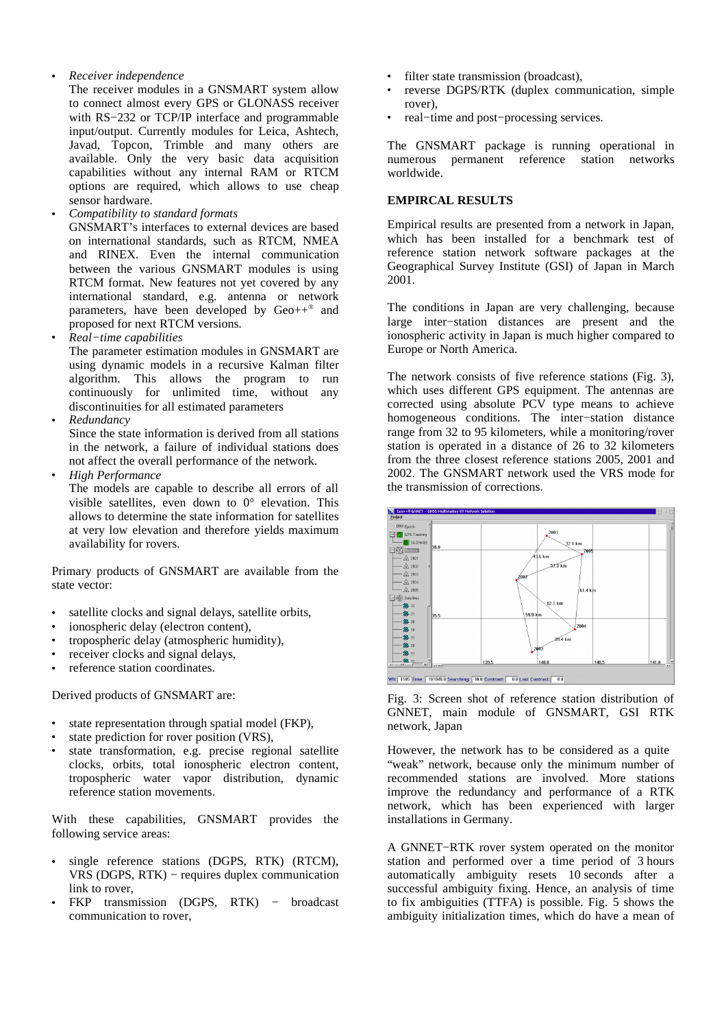# *Receiver independence*

\_

The receiver modules in a GNSMART system allow to connect almost every GPS or GLONASS receiver with RS−232 or TCP/IP interface and programmable input/output. Currently modules for Leica, Ashtech, Javad, Topcon, Trimble and many others are available. Only the very basic data acquisition capabilities without any internal RAM or RTCM options are required, which allows to use cheap sensor hardware.

\_ *Compatibility to standard formats*

GNSMART's interfaces to external devices are based on international standards, such as RTCM, NMEA and RINEX. Even the internal communication between the various GNSMART modules is using RTCM format. New features not yet covered by any international standard, e.g. antenna or network parameters, have been developed by Geo++<sup>®</sup> and proposed for next RTCM versions.

\_ *Real−time capabilities*

The parameter estimation modules in GNSMART are using dynamic models in a recursive Kalman filter algorithm. This allows the program to run continuously for unlimited time, without any discontinuities for all estimated parameters

\_ *Redundancy*

Since the state information is derived from all stations in the network, a failure of individual stations does not affect the overall performance of the network.

\_ *High Performance*

The models are capable to describe all errors of all visible satellites, even down to 0° elevation. This allows to determine the state information for satellites at very low elevation and therefore yields maximum availability for rovers.

Primary products of GNSMART are available from the state vector:

- $\ddot{\phantom{a}}$ satellite clocks and signal delays, satellite orbits,
- \_ ionospheric delay (electron content),
- \_ tropospheric delay (atmospheric humidity),
- $\sim$   $\sim$ receiver clocks and signal delays,
- \_ reference station coordinates.

Derived products of GNSMART are:

- $\sim$   $\sim$ state representation through spatial model (FKP),
- $\sim$   $\sim$ state prediction for rover position (VRS),
- $\sim$   $\sim$ state transformation, e.g. precise regional satellite clocks, orbits, total ionospheric electron content, tropospheric water vapor distribution, dynamic reference station movements.

With these capabilities, GNSMART provides the following service areas:

- \_ single reference stations (DGPS, RTK) (RTCM), VRS (DGPS, RTK) − requires duplex communication link to rover.
- \_ FKP transmission (DGPS, RTK) – broadcast communication to rover,
- \_ filter state transmission (broadcast),
- \_ reverse DGPS/RTK (duplex communication, simple rover),
- \_ real−time and post−processing services.

The GNSMART package is running operational in numerous permanent reference station networks worldwide.

# **EMPIRCAL RESULTS**

Empirical results are presented from a network in Japan, which has been installed for a benchmark test of reference station network software packages at the Geographical Survey Institute (GSI) of Japan in March 2001.

The conditions in Japan are very challenging, because large inter−station distances are present and the ionospheric activity in Japan is much higher compared to Europe or North America.

The network consists of five reference stations (Fig. 3), which uses different GPS equipment. The antennas are corrected using absolute PCV type means to achieve homogeneous conditions. The inter−station distance range from 32 to 95 kilometers, while a monitoring/rover station is operated in a distance of 26 to 32 kilometers from the three closest reference stations 2005, 2001 and 2002. The GNSMART network used the VRS mode for the transmission of corrections.



Fig. 3: Screen shot of reference station distribution of GNNET, main module of GNSMART, GSI RTK network, Japan

However, the network has to be considered as a quite "weak" network, because only the minimum number of recommended stations are involved. More stations improve the redundancy and performance of a RTK network, which has been experienced with larger installations in Germany.

A GNNET−RTK rover system operated on the monitor station and performed over a time period of 3 hours automatically ambiguity resets 10 seconds after a successful ambiguity fixing. Hence, an analysis of time to fix ambiguities (TTFA) is possible. Fig. 5 shows the ambiguity initialization times, which do have a mean of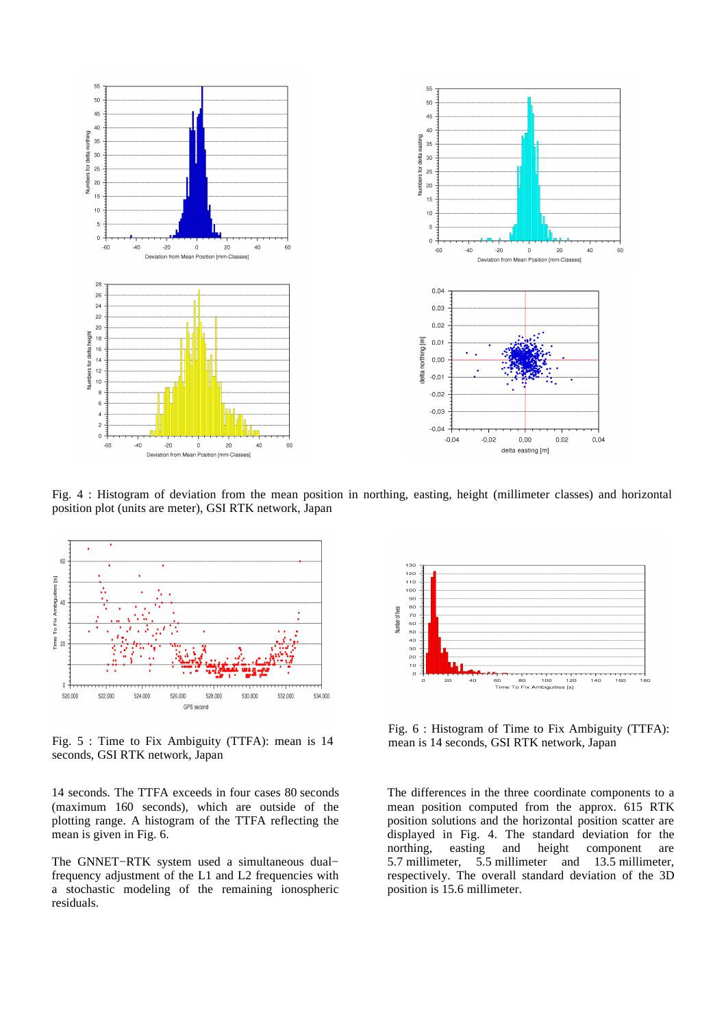

Fig. 4 : Histogram of deviation from the mean position in northing, easting, height (millimeter classes) and horizontal position plot (units are meter), GSI RTK network, Japan



Fig. 5 : Time to Fix Ambiguity (TTFA): mean is 14 seconds, GSI RTK network, Japan

14 seconds. The TTFA exceeds in four cases 80 seconds (maximum 160 seconds), which are outside of the plotting range. A histogram of the TTFA reflecting the mean is given in Fig. 6.

The GNNET−RTK system used a simultaneous dual− frequency adjustment of the L1 and L2 frequencies with a stochastic modeling of the remaining ionospheric residuals.



Fig. 6 : Histogram of Time to Fix Ambiguity (TTFA): mean is 14 seconds, GSI RTK network, Japan

The differences in the three coordinate components to a mean position computed from the approx. 615 RTK position solutions and the horizontal position scatter are displayed in Fig. 4. The standard deviation for the northing, easting and height component are 5.7 millimeter, 5.5 millimeter and 13.5 millimeter, respectively. The overall standard deviation of the 3D position is 15.6 millimeter.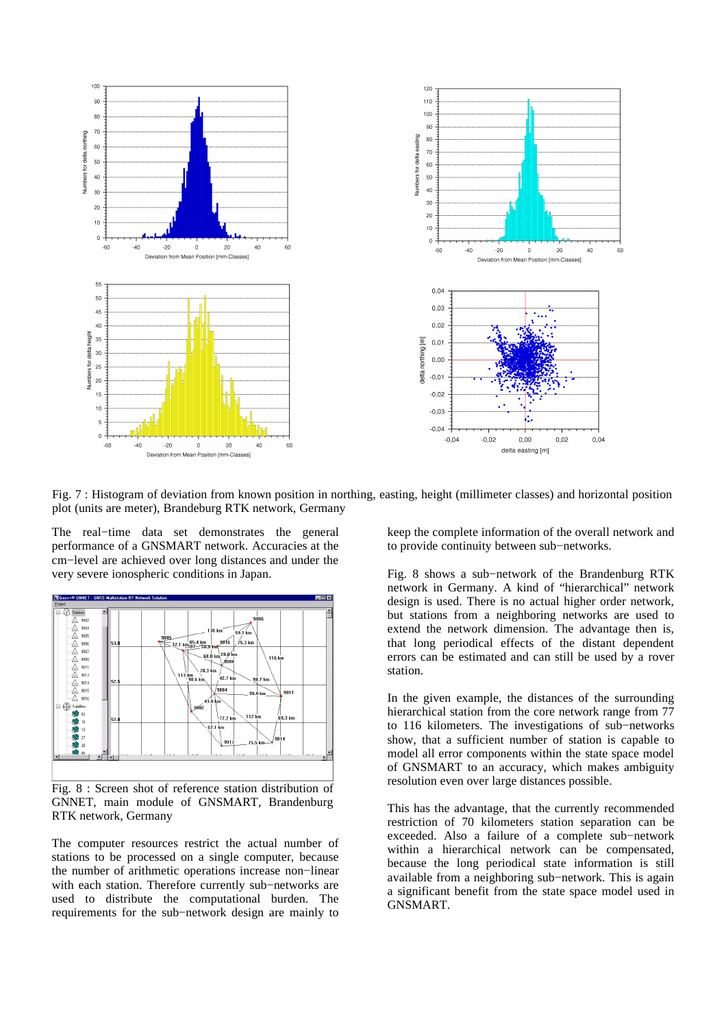

Fig. 7 : Histogram of deviation from known position in northing, easting, height (millimeter classes) and horizontal position plot (units are meter), Brandeburg RTK network, Germany

The real−time data set demonstrates the general performance of a GNSMART network. Accuracies at the cm−level are achieved over long distances and under the very severe ionospheric conditions in Japan.



Fig. 8 : Screen shot of reference station distribution of GNNET, main module of GNSMART, Brandenburg RTK network, Germany

The computer resources restrict the actual number of stations to be processed on a single computer, because the number of arithmetic operations increase non−linear with each station. Therefore currently sub−networks are used to distribute the computational burden. The requirements for the sub−network design are mainly to

keep the complete information of the overall network and to provide continuity between sub−networks.

Fig. 8 shows a sub−network of the Brandenburg RTK network in Germany. A kind of "hierarchical" network design is used. There is no actual higher order network, but stations from a neighboring networks are used to extend the network dimension. The advantage then is, that long periodical effects of the distant dependent errors can be estimated and can still be used by a rover station.

In the given example, the distances of the surrounding hierarchical station from the core network range from 77 to 116 kilometers. The investigations of sub−networks show, that a sufficient number of station is capable to model all error components within the state space model of GNSMART to an accuracy, which makes ambiguity resolution even over large distances possible.

This has the advantage, that the currently recommended restriction of 70 kilometers station separation can be exceeded. Also a failure of a complete sub−network within a hierarchical network can be compensated, because the long periodical state information is still available from a neighboring sub−network. This is again a significant benefit from the state space model used in GNSMART.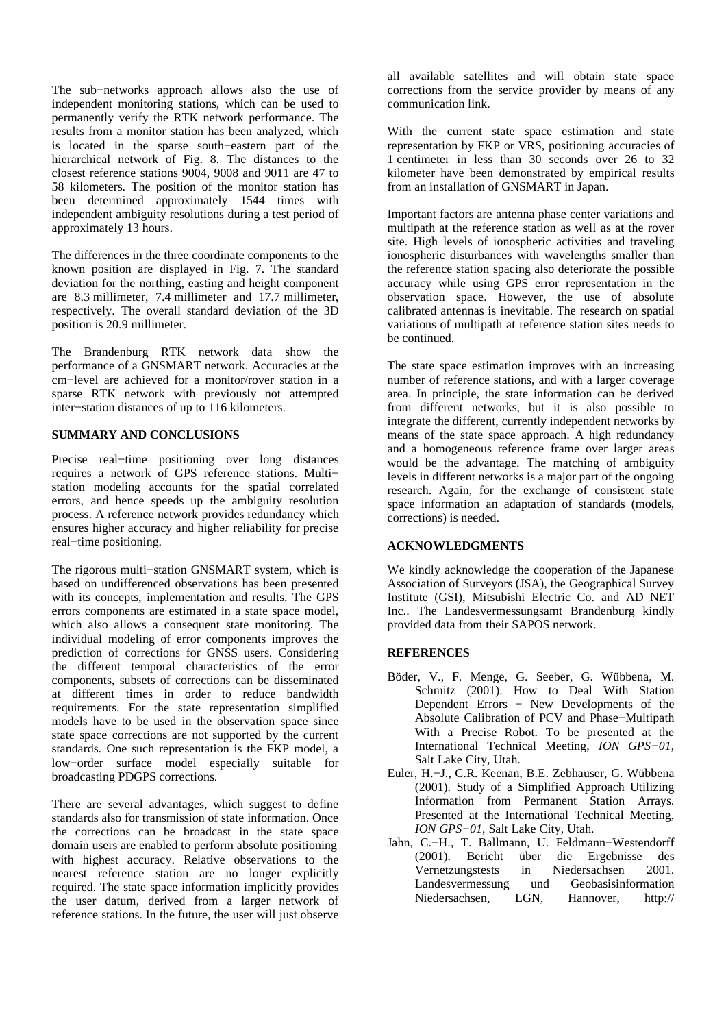The sub−networks approach allows also the use of independent monitoring stations, which can be used to permanently verify the RTK network performance. The results from a monitor station has been analyzed, which is located in the sparse south−eastern part of the hierarchical network of Fig. 8. The distances to the closest reference stations 9004, 9008 and 9011 are 47 to 58 kilometers. The position of the monitor station has been determined approximately 1544 times with independent ambiguity resolutions during a test period of approximately 13 hours.

The differences in the three coordinate components to the known position are displayed in Fig. 7. The standard deviation for the northing, easting and height component are 8.3 millimeter, 7.4 millimeter and 17.7 millimeter, respectively. The overall standard deviation of the 3D position is 20.9 millimeter.

The Brandenburg RTK network data show the performance of a GNSMART network. Accuracies at the cm−level are achieved for a monitor/rover station in a sparse RTK network with previously not attempted inter−station distances of up to 116 kilometers.

# **SUMMARY AND CONCLUSIONS**

Precise real−time positioning over long distances requires a network of GPS reference stations. Multi− station modeling accounts for the spatial correlated errors, and hence speeds up the ambiguity resolution process. A reference network provides redundancy which ensures higher accuracy and higher reliability for precise real−time positioning.

The rigorous multi−station GNSMART system, which is based on undifferenced observations has been presented with its concepts, implementation and results. The GPS errors components are estimated in a state space model, which also allows a consequent state monitoring. The individual modeling of error components improves the prediction of corrections for GNSS users. Considering the different temporal characteristics of the error components, subsets of corrections can be disseminated at different times in order to reduce bandwidth requirements. For the state representation simplified models have to be used in the observation space since state space corrections are not supported by the current standards. One such representation is the FKP model, a low−order surface model especially suitable for broadcasting PDGPS corrections.

There are several advantages, which suggest to define standards also for transmission of state information. Once the corrections can be broadcast in the state space domain users are enabled to perform absolute positioning with highest accuracy. Relative observations to the nearest reference station are no longer explicitly required. The state space information implicitly provides the user datum, derived from a larger network of reference stations. In the future, the user will just observe all available satellites and will obtain state space corrections from the service provider by means of any communication link.

With the current state space estimation and state representation by FKP or VRS, positioning accuracies of 1 centimeter in less than 30 seconds over 26 to 32 kilometer have been demonstrated by empirical results from an installation of GNSMART in Japan.

Important factors are antenna phase center variations and multipath at the reference station as well as at the rover site. High levels of ionospheric activities and traveling ionospheric disturbances with wavelengths smaller than the reference station spacing also deteriorate the possible accuracy while using GPS error representation in the observation space. However, the use of absolute calibrated antennas is inevitable. The research on spatial variations of multipath at reference station sites needs to be continued.

The state space estimation improves with an increasing number of reference stations, and with a larger coverage area. In principle, the state information can be derived from different networks, but it is also possible to integrate the different, currently independent networks by means of the state space approach. A high redundancy and a homogeneous reference frame over larger areas would be the advantage. The matching of ambiguity levels in different networks is a major part of the ongoing research. Again, for the exchange of consistent state space information an adaptation of standards (models, corrections) is needed.

### **ACKNOWLEDGMENTS**

We kindly acknowledge the cooperation of the Japanese Association of Surveyors (JSA), the Geographical Survey Institute (GSI), Mitsubishi Electric Co. and AD NET Inc.. The Landesvermessungsamt Brandenburg kindly provided data from their SAPOS network.

### **REFERENCES**

- Böder, V., F. Menge, G. Seeber, G. Wübbena, M. Schmitz (2001). How to Deal With Station Dependent Errors − New Developments of the Absolute Calibration of PCV and Phase−Multipath With a Precise Robot. To be presented at the International Technical Meeting, *ION GPS−01*, Salt Lake City, Utah.
- Euler, H.−J., C.R. Keenan, B.E. Zebhauser, G. Wübbena (2001). Study of a Simplified Approach Utilizing Information from Permanent Station Arrays. Presented at the International Technical Meeting, *ION GPS−01*, Salt Lake City, Utah.
- Jahn, C.−H., T. Ballmann, U. Feldmann−Westendorff (2001). Bericht über die Ergebnisse des Vernetzungstests in Niedersachsen 2001. Landesvermessung und Geobasisinformation Niedersachsen, LGN, Hannover, http://